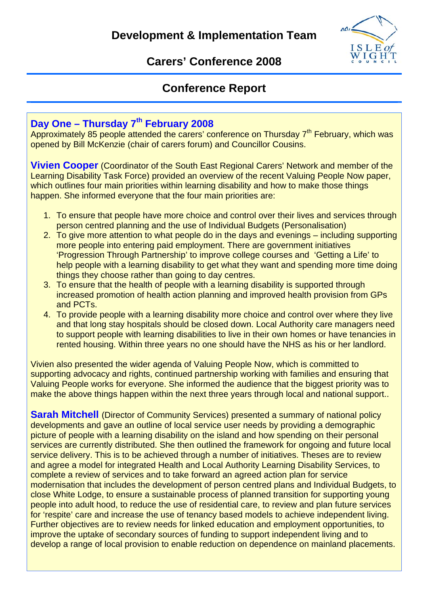

## **Carers' Conference 2008**

## **Conference Report**

# **Day One – Thursday 7th February 2008**

Approximately 85 people attended the carers' conference on Thursday 7<sup>th</sup> February, which was opened by Bill McKenzie (chair of carers forum) and Councillor Cousins.

**Vivien Cooper** (Coordinator of the South East Regional Carers' Network and member of the Learning Disability Task Force) provided an overview of the recent Valuing People Now paper, which outlines four main priorities within learning disability and how to make those things happen. She informed everyone that the four main priorities are:

- 1. To ensure that people have more choice and control over their lives and services through person centred planning and the use of Individual Budgets (Personalisation)
- 2. To give more attention to what people do in the days and evenings including supporting more people into entering paid employment. There are government initiatives 'Progression Through Partnership' to improve college courses and 'Getting a Life' to help people with a learning disability to get what they want and spending more time doing things they choose rather than going to day centres.
- 3. To ensure that the health of people with a learning disability is supported through increased promotion of health action planning and improved health provision from GPs and PCTs.
- 4. To provide people with a learning disability more choice and control over where they live and that long stay hospitals should be closed down. Local Authority care managers need to support people with learning disabilities to live in their own homes or have tenancies in rented housing. Within three years no one should have the NHS as his or her landlord.

Vivien also presented the wider agenda of Valuing People Now, which is committed to supporting advocacy and rights, continued partnership working with families and ensuring that Valuing People works for everyone. She informed the audience that the biggest priority was to make the above things happen within the next three years through local and national support..

**Sarah Mitchell** (Director of Community Services) presented a summary of national policy developments and gave an outline of local service user needs by providing a demographic picture of people with a learning disability on the island and how spending on their personal services are currently distributed. She then outlined the framework for ongoing and future local service delivery. This is to be achieved through a number of initiatives. Theses are to review and agree a model for integrated Health and Local Authority Learning Disability Services, to complete a review of services and to take forward an agreed action plan for service modernisation that includes the development of person centred plans and Individual Budgets, to close White Lodge, to ensure a sustainable process of planned transition for supporting young people into adult hood, to reduce the use of residential care, to review and plan future services for 'respite' care and increase the use of tenancy based models to achieve independent living. Further objectives are to review needs for linked education and employment opportunities, to improve the uptake of secondary sources of funding to support independent living and to develop a range of local provision to enable reduction on dependence on mainland placements.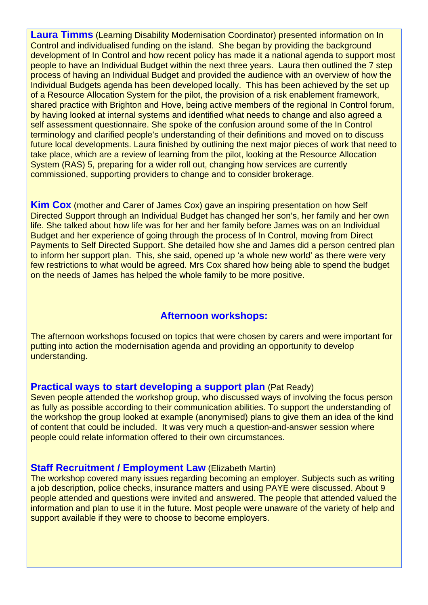**Laura Timms** (Learning Disability Modernisation Coordinator) presented information on In Control and individualised funding on the island. She began by providing the background development of In Control and how recent policy has made it a national agenda to support most people to have an Individual Budget within the next three years. Laura then outlined the 7 step process of having an Individual Budget and provided the audience with an overview of how the Individual Budgets agenda has been developed locally. This has been achieved by the set up of a Resource Allocation System for the pilot, the provision of a risk enablement framework, shared practice with Brighton and Hove, being active members of the regional In Control forum, by having looked at internal systems and identified what needs to change and also agreed a self assessment questionnaire. She spoke of the confusion around some of the In Control terminology and clarified people's understanding of their definitions and moved on to discuss future local developments. Laura finished by outlining the next major pieces of work that need to take place, which are a review of learning from the pilot, looking at the Resource Allocation System (RAS) 5, preparing for a wider roll out, changing how services are currently commissioned, supporting providers to change and to consider brokerage.

**Kim Cox** (mother and Carer of James Cox) gave an inspiring presentation on how Self Directed Support through an Individual Budget has changed her son's, her family and her own life. She talked about how life was for her and her family before James was on an Individual Budget and her experience of going through the process of In Control, moving from Direct Payments to Self Directed Support. She detailed how she and James did a person centred plan to inform her support plan. This, she said, opened up 'a whole new world' as there were very few restrictions to what would be agreed. Mrs Cox shared how being able to spend the budget on the needs of James has helped the whole family to be more positive.

## **Afternoon workshops:**

The afternoon workshops focused on topics that were chosen by carers and were important for putting into action the modernisation agenda and providing an opportunity to develop understanding.

### **Practical ways to start developing a support plan (Pat Ready)**

Seven people attended the workshop group, who discussed ways of involving the focus person as fully as possible according to their communication abilities. To support the understanding of the workshop the group looked at example (anonymised) plans to give them an idea of the kind of content that could be included. It was very much a question-and-answer session where people could relate information offered to their own circumstances.

### **Staff Recruitment / Employment Law (Elizabeth Martin)**

The workshop covered many issues regarding becoming an employer. Subjects such as writing a job description, police checks, insurance matters and using PAYE were discussed. About 9 people attended and questions were invited and answered. The people that attended valued the information and plan to use it in the future. Most people were unaware of the variety of help and support available if they were to choose to become employers.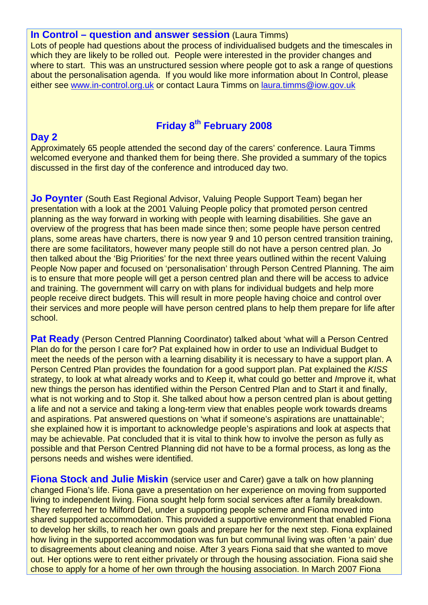#### **In Control – question and answer session** (Laura Timms)

Lots of people had questions about the process of individualised budgets and the timescales in which they are likely to be rolled out. People were interested in the provider changes and where to start. This was an unstructured session where people got to ask a range of questions about the personalisation agenda. If you would like more information about In Control, please either see www.in-control.org.uk or contact Laura Timms on laura.timms@iow.gov.uk

## **Friday 8th February 2008**

### **Day 2**

Approximately 65 people attended the second day of the carers' conference. Laura Timms welcomed everyone and thanked them for being there. She provided a summary of the topics discussed in the first day of the conference and introduced day two.

**Jo Poynter** (South East Regional Advisor, Valuing People Support Team) began her presentation with a look at the 2001 Valuing People policy that promoted person centred planning as the way forward in working with people with learning disabilities. She gave an overview of the progress that has been made since then; some people have person centred plans, some areas have charters, there is now year 9 and 10 person centred transition training, there are some facilitators, however many people still do not have a person centred plan. Jo then talked about the 'Big Priorities' for the next three years outlined within the recent Valuing People Now paper and focused on 'personalisation' through Person Centred Planning. The aim is to ensure that more people will get a person centred plan and there will be access to advice and training. The government will carry on with plans for individual budgets and help more people receive direct budgets. This will result in more people having choice and control over their services and more people will have person centred plans to help them prepare for life after school.

**Pat Ready** (Person Centred Planning Coordinator) talked about 'what will a Person Centred Plan do for the person I care for? Pat explained how in order to use an Individual Budget to meet the needs of the person with a learning disability it is necessary to have a support plan. A Person Centred Plan provides the foundation for a good support plan. Pat explained the *KISS*  strategy, to look at what already works and to *K*eep it, what could go better and *I*mprove it, what new things the person has identified within the Person Centred Plan and to *S*tart it and finally, what is not working and to *S*top it. She talked about how a person centred plan is about getting a life and not a service and taking a long-term view that enables people work towards dreams and aspirations. Pat answered questions on 'what if someone's aspirations are unattainable'; she explained how it is important to acknowledge people's aspirations and look at aspects that may be achievable. Pat concluded that it is vital to think how to involve the person as fully as possible and that Person Centred Planning did not have to be a formal process, as long as the persons needs and wishes were identified.

**Fiona Stock and Julie Miskin** (service user and Carer) gave a talk on how planning changed Fiona's life. Fiona gave a presentation on her experience on moving from supported living to independent living. Fiona sought help form social services after a family breakdown. They referred her to Milford Del, under a supporting people scheme and Fiona moved into shared supported accommodation. This provided a supportive environment that enabled Fiona to develop her skills, to reach her own goals and prepare her for the next step. Fiona explained how living in the supported accommodation was fun but communal living was often 'a pain' due to disagreements about cleaning and noise. After 3 years Fiona said that she wanted to move out. Her options were to rent either privately or through the housing association. Fiona said she chose to apply for a home of her own through the housing association. In March 2007 Fiona